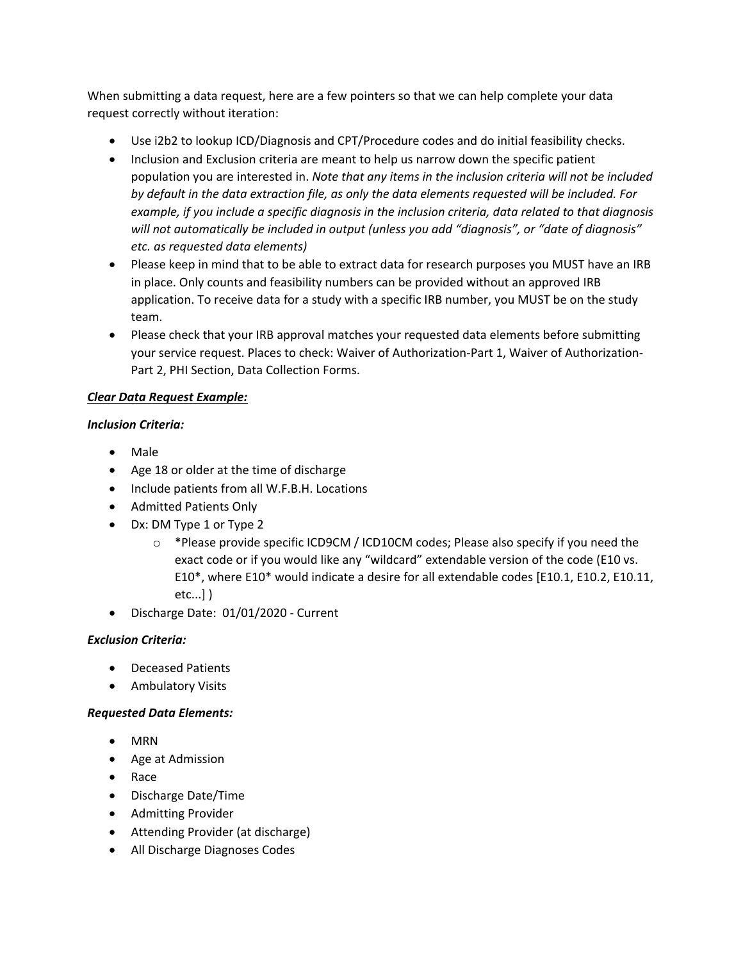When submitting a data request, here are a few pointers so that we can help complete your data request correctly without iteration:

- Use i2b2 to lookup ICD/Diagnosis and CPT/Procedure codes and do initial feasibility checks.
- Inclusion and Exclusion criteria are meant to help us narrow down the specific patient population you are interested in. *Note that any items in the inclusion criteria will not be included by default in the data extraction file, as only the data elements requested will be included. For example, if you include a specific diagnosis in the inclusion criteria, data related to that diagnosis will not automatically be included in output (unless you add "diagnosis", or "date of diagnosis" etc. as requested data elements)*
- Please keep in mind that to be able to extract data for research purposes you MUST have an IRB in place. Only counts and feasibility numbers can be provided without an approved IRB application. To receive data for a study with a specific IRB number, you MUST be on the study team.
- Please check that your IRB approval matches your requested data elements before submitting your service request. Places to check: Waiver of Authorization-Part 1, Waiver of Authorization-Part 2, PHI Section, Data Collection Forms.

## *Clear Data Request Example:*

## *Inclusion Criteria:*

- Male
- Age 18 or older at the time of discharge
- Include patients from all W.F.B.H. Locations
- Admitted Patients Only
- Dx: DM Type 1 or Type 2
	- $\circ$  \*Please provide specific ICD9CM / ICD10CM codes; Please also specify if you need the exact code or if you would like any "wildcard" extendable version of the code (E10 vs. E10\*, where E10\* would indicate a desire for all extendable codes [E10.1, E10.2, E10.11, etc...] )
- Discharge Date: 01/01/2020 Current

## *Exclusion Criteria:*

- Deceased Patients
- **•** Ambulatory Visits

## *Requested Data Elements:*

- MRN
- Age at Admission
- Race
- Discharge Date/Time
- **•** Admitting Provider
- Attending Provider (at discharge)
- All Discharge Diagnoses Codes